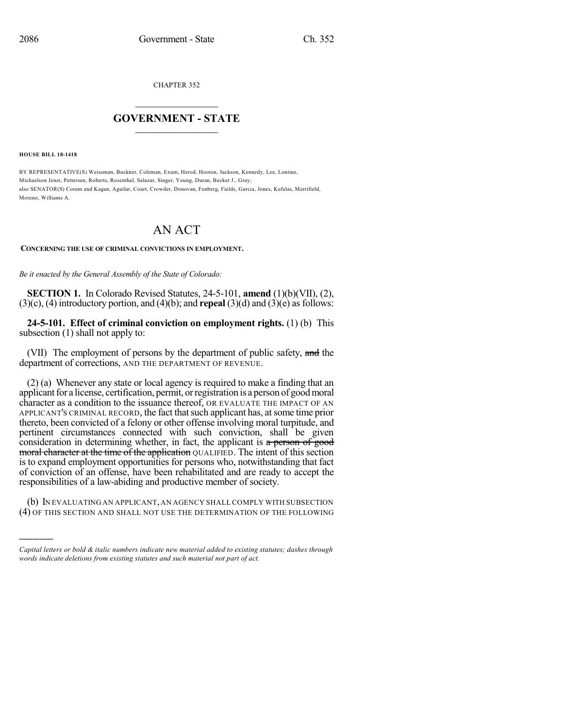CHAPTER 352

## $\mathcal{L}_\text{max}$  . The set of the set of the set of the set of the set of the set of the set of the set of the set of the set of the set of the set of the set of the set of the set of the set of the set of the set of the set **GOVERNMENT - STATE**  $\_$   $\_$   $\_$   $\_$   $\_$   $\_$   $\_$   $\_$

**HOUSE BILL 18-1418**

)))))

BY REPRESENTATIVE(S) Weissman, Buckner, Coleman, Exum, Herod, Hooton, Jackson, Kennedy, Lee, Lontine, Michaelson Jenet, Pettersen, Roberts, Rosenthal, Salazar, Singer, Young, Duran, Becker J., Gray; also SENATOR(S) Coram and Kagan, Aguilar, Court, Crowder, Donovan, Fenberg, Fields, Garcia, Jones, Kefalas, Merrifield, Moreno, Williams A.

## AN ACT

## **CONCERNING THE USE OF CRIMINAL CONVICTIONS IN EMPLOYMENT.**

*Be it enacted by the General Assembly of the State of Colorado:*

**SECTION 1.** In Colorado Revised Statutes, 24-5-101, **amend** (1)(b)(VII), (2),  $(3)(c)$ ,  $(4)$  introductory portion, and  $(4)(b)$ ; and **repeal**  $(3)(d)$  and  $(3)(e)$  as follows:

**24-5-101. Effect of criminal conviction on employment rights.** (1) (b) This subsection (1) shall not apply to:

(VII) The employment of persons by the department of public safety, and the department of corrections, AND THE DEPARTMENT OF REVENUE.

(2) (a) Whenever any state or local agency is required to make a finding that an applicant for a license, certification, permit, or registration is a person of good moral character as a condition to the issuance thereof, OR EVALUATE THE IMPACT OF AN APPLICANT'S CRIMINAL RECORD, the fact that such applicant has, at some time prior thereto, been convicted of a felony or other offense involving moral turpitude, and pertinent circumstances connected with such conviction, shall be given consideration in determining whether, in fact, the applicant is a person of good moral character at the time of the application QUALIFIED. The intent of this section is to expand employment opportunities for persons who, notwithstanding that fact of conviction of an offense, have been rehabilitated and are ready to accept the responsibilities of a law-abiding and productive member of society.

(b) IN EVALUATING AN APPLICANT,AN AGENCY SHALL COMPLY WITH SUBSECTION (4) OF THIS SECTION AND SHALL NOT USE THE DETERMINATION OF THE FOLLOWING

*Capital letters or bold & italic numbers indicate new material added to existing statutes; dashes through words indicate deletions from existing statutes and such material not part of act.*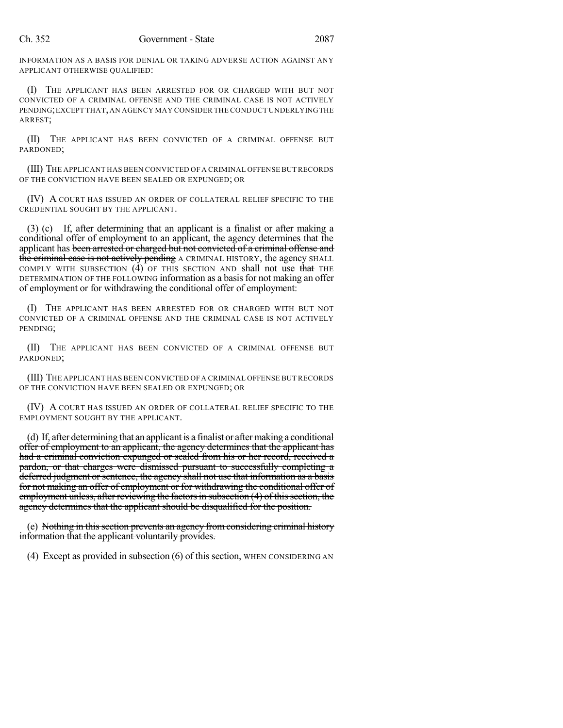INFORMATION AS A BASIS FOR DENIAL OR TAKING ADVERSE ACTION AGAINST ANY APPLICANT OTHERWISE QUALIFIED:

(I) THE APPLICANT HAS BEEN ARRESTED FOR OR CHARGED WITH BUT NOT CONVICTED OF A CRIMINAL OFFENSE AND THE CRIMINAL CASE IS NOT ACTIVELY PENDING;EXCEPT THAT,AN AGENCY MAY CONSIDER THE CONDUCT UNDERLYINGTHE ARREST;

(II) THE APPLICANT HAS BEEN CONVICTED OF A CRIMINAL OFFENSE BUT PARDONED;

(III) THE APPLICANT HAS BEEN CONVICTED OF A CRIMINAL OFFENSE BUT RECORDS OF THE CONVICTION HAVE BEEN SEALED OR EXPUNGED; OR

(IV) A COURT HAS ISSUED AN ORDER OF COLLATERAL RELIEF SPECIFIC TO THE CREDENTIAL SOUGHT BY THE APPLICANT.

(3) (c) If, after determining that an applicant is a finalist or after making a conditional offer of employment to an applicant, the agency determines that the applicant has been arrested or charged but not convicted of a criminal offense and the criminal case is not actively pending A CRIMINAL HISTORY, the agency SHALL COMPLY WITH SUBSECTION  $(4)$  OF THIS SECTION AND shall not use that THE DETERMINATION OF THE FOLLOWING information as a basis for not making an offer of employment or for withdrawing the conditional offer of employment:

(I) THE APPLICANT HAS BEEN ARRESTED FOR OR CHARGED WITH BUT NOT CONVICTED OF A CRIMINAL OFFENSE AND THE CRIMINAL CASE IS NOT ACTIVELY PENDING;

(II) THE APPLICANT HAS BEEN CONVICTED OF A CRIMINAL OFFENSE BUT PARDONED;

(III) THE APPLICANT HAS BEEN CONVICTED OF A CRIMINAL OFFENSE BUT RECORDS OF THE CONVICTION HAVE BEEN SEALED OR EXPUNGED; OR

(IV) A COURT HAS ISSUED AN ORDER OF COLLATERAL RELIEF SPECIFIC TO THE EMPLOYMENT SOUGHT BY THE APPLICANT.

(d) If, after determining that an applicant is a finalist or after making a conditional offer of employment to an applicant, the agency determines that the applicant has had a criminal conviction expunged or sealed from his or her record, received a pardon, or that charges were dismissed pursuant to successfully completing a deferred judgment or sentence, the agency shall not use that information as a basis for not making an offer of employment or for withdrawing the conditional offer of employment unless, after reviewing the factors in subsection (4) of this section, the agency determines that the applicant should be disqualified for the position.

(e) Nothing in this section prevents an agency from considering criminal history information that the applicant voluntarily provides.

(4) Except as provided in subsection (6) of this section, WHEN CONSIDERING AN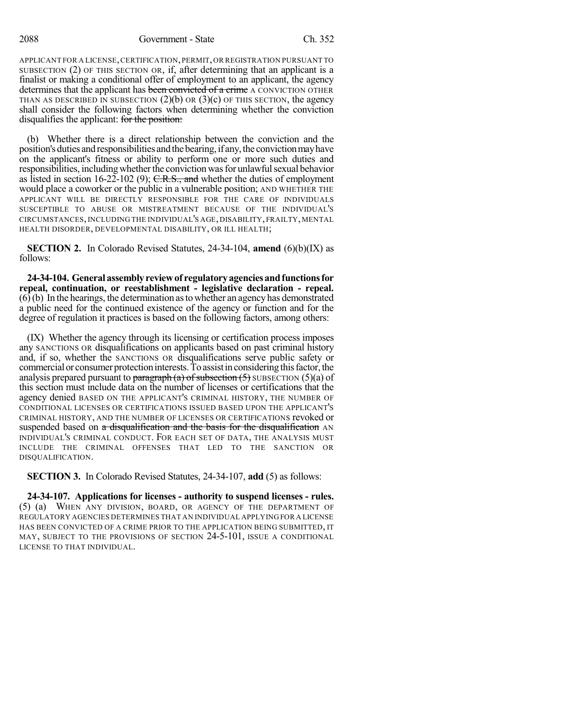2088 Government - State Ch. 352

APPLICANT FOR A LICENSE,CERTIFICATION,PERMIT,OR REGISTRATION PURSUANT TO SUBSECTION (2) OF THIS SECTION OR, if, after determining that an applicant is a finalist or making a conditional offer of employment to an applicant, the agency determines that the applicant has been convicted of a crime A CONVICTION OTHER THAN AS DESCRIBED IN SUBSECTION  $(2)(b)$  OR  $(3)(c)$  OF THIS SECTION, the agency shall consider the following factors when determining whether the conviction disqualifies the applicant: for the position:

(b) Whether there is a direct relationship between the conviction and the position's duties and responsibilities and the bearing, if any, the conviction may have on the applicant's fitness or ability to perform one or more such duties and responsibilities, including whetherthe conviction wasfor unlawfulsexual behavior as listed in section 16-22-102 (9); C.R.S., and whether the duties of employment would place a coworker or the public in a vulnerable position; AND WHETHER THE APPLICANT WILL BE DIRECTLY RESPONSIBLE FOR THE CARE OF INDIVIDUALS SUSCEPTIBLE TO ABUSE OR MISTREATMENT BECAUSE OF THE INDIVIDUAL'S CIRCUMSTANCES, INCLUDING THE INDIVIDUAL'S AGE, DISABILITY, FRAILTY, MENTAL HEALTH DISORDER, DEVELOPMENTAL DISABILITY, OR ILL HEALTH;

**SECTION 2.** In Colorado Revised Statutes, 24-34-104, **amend** (6)(b)(IX) as follows:

**24-34-104. General assemblyreviewof regulatoryagenciesandfunctionsfor repeal, continuation, or reestablishment - legislative declaration - repeal.**  $(6)$  (b) In the hearings, the determination as to whether an agency has demonstrated a public need for the continued existence of the agency or function and for the degree of regulation it practices is based on the following factors, among others:

(IX) Whether the agency through its licensing or certification process imposes any SANCTIONS OR disqualifications on applicants based on past criminal history and, if so, whether the SANCTIONS OR disqualifications serve public safety or commercial or consumer protection interests. To assist in considering this factor, the analysis prepared pursuant to paragraph (a) of subsection  $(5)$  SUBSECTION  $(5)(a)$  of this section must include data on the number of licenses or certifications that the agency denied BASED ON THE APPLICANT'S CRIMINAL HISTORY, THE NUMBER OF CONDITIONAL LICENSES OR CERTIFICATIONS ISSUED BASED UPON THE APPLICANT'S CRIMINAL HISTORY, AND THE NUMBER OF LICENSES OR CERTIFICATIONS revoked or suspended based on  $a$  disqualification and the basis for the disqualification  $AN$ INDIVIDUAL'S CRIMINAL CONDUCT. FOR EACH SET OF DATA, THE ANALYSIS MUST INCLUDE THE CRIMINAL OFFENSES THAT LED TO THE SANCTION OR DISQUALIFICATION.

**SECTION 3.** In Colorado Revised Statutes, 24-34-107, **add** (5) as follows:

**24-34-107. Applications for licenses - authority to suspend licenses - rules.** (5) (a) WHEN ANY DIVISION, BOARD, OR AGENCY OF THE DEPARTMENT OF REGULATORY AGENCIES DETERMINES THAT AN INDIVIDUAL APPLYING FOR A LICENSE HAS BEEN CONVICTED OF A CRIME PRIOR TO THE APPLICATION BEING SUBMITTED, IT MAY, SUBJECT TO THE PROVISIONS OF SECTION 24-5-101, ISSUE A CONDITIONAL LICENSE TO THAT INDIVIDUAL.